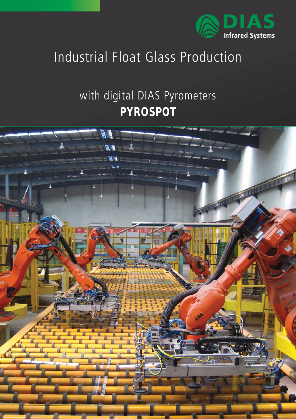

## Industrial Float Glass Production

## with digital DIAS Pyrometers **PYROSPOT**